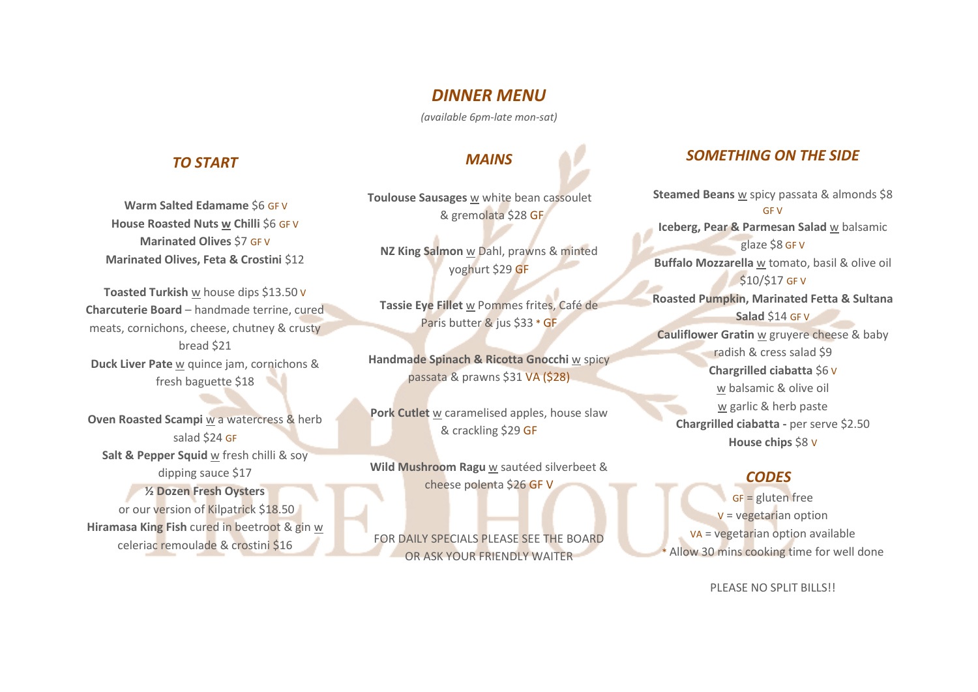## *DINNER MENU*

*(available 6pm-late mon-sat)*

#### *TO START*

 **Warm Salted Edamame** \$6 GF V **House Roasted Nuts w Chilli** \$6 GF V **Marinated Olives** \$7 GF V **Marinated Olives, Feta & Crostini \$12** 

**Toasted Turkish** w house dips \$13.50 V **Charcuterie Board** – handmade terrine, cured meats, cornichons, cheese, chutney & crusty bread \$21 **Duck Liver Pate** w quince jam, cornichons & fresh baguette \$18

**Oven Roasted Scampi** w a watercress & herb salad \$24 GF **Salt & Pepper Squid** w fresh chilli & soy dipping sauce \$17 **½ Dozen Fresh Oysters**  or our version of Kilpatrick \$18.50 **Hiramasa King Fish** cured in beetroot & gin w celeriac remoulade & crostini \$16

# *MAINS*

**Toulouse Sausages** w white bean cassoulet & gremolata \$28 GF

**NZ King Salmon** w Dahl, prawns & minted yoghurt \$29 GF

**Tassie Eye Fillet** w Pommes frites, Café de Paris butter & jus \$33 \* GF

**Handmade Spinach & Ricotta Gnocchi** w spicy passata & prawns \$31 VA (\$28)

**Pork Cutlet** w caramelised apples, house slaw & crackling \$29 GF

**Wild Mushroom Ragu** w sautéed silverbeet & cheese polenta \$26 GF V

FOR DAILY SPECIALS PLEASE SEE THE BOARD OR ASK YOUR FRIENDLY WAITER

## *SOMETHING ON THE SIDE*

**Steamed Beans** w spicy passata & almonds \$8 GF V **Iceberg, Pear & Parmesan Salad** w balsamic glaze \$8 GF V **Buffalo Mozzarella** w tomato, basil & olive oil \$10/\$17 GF V **Roasted Pumpkin, Marinated Fetta & Sultana Salad** \$14 GF V **Cauliflower Gratin** w gruyere cheese & baby radish & cress salad \$9 **Chargrilled ciabatta** \$6 V w balsamic & olive oil w garlic & herb paste **Chargrilled ciabatta -** per serve \$2.50 **House chips** \$8 V

### *CODES*

GF = gluten free  $V = v$ egetarian option VA = vegetarian option available Allow 30 mins cooking time for well done

PLEASE NO SPLIT BILLS!